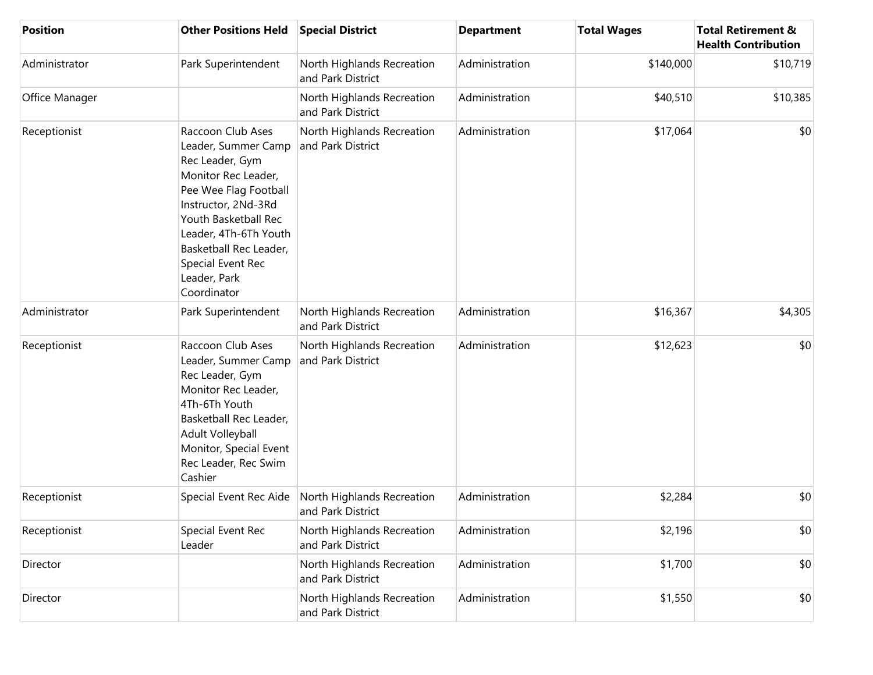| <b>Position</b> | <b>Other Positions Held</b>                                                                                                                                                                                                                                       | <b>Special District</b>                         | <b>Department</b> | <b>Total Wages</b> | <b>Total Retirement &amp;</b><br><b>Health Contribution</b> |
|-----------------|-------------------------------------------------------------------------------------------------------------------------------------------------------------------------------------------------------------------------------------------------------------------|-------------------------------------------------|-------------------|--------------------|-------------------------------------------------------------|
| Administrator   | Park Superintendent                                                                                                                                                                                                                                               | North Highlands Recreation<br>and Park District | Administration    | \$140,000          | \$10,719                                                    |
| Office Manager  |                                                                                                                                                                                                                                                                   | North Highlands Recreation<br>and Park District | Administration    | \$40,510           | \$10,385                                                    |
| Receptionist    | Raccoon Club Ases<br>Leader, Summer Camp<br>Rec Leader, Gym<br>Monitor Rec Leader,<br>Pee Wee Flag Football<br>Instructor, 2Nd-3Rd<br>Youth Basketball Rec<br>Leader, 4Th-6Th Youth<br>Basketball Rec Leader,<br>Special Event Rec<br>Leader, Park<br>Coordinator | North Highlands Recreation<br>and Park District | Administration    | \$17,064           | \$0                                                         |
| Administrator   | Park Superintendent                                                                                                                                                                                                                                               | North Highlands Recreation<br>and Park District | Administration    | \$16,367           | \$4,305                                                     |
| Receptionist    | Raccoon Club Ases<br>Leader, Summer Camp<br>Rec Leader, Gym<br>Monitor Rec Leader,<br>4Th-6Th Youth<br>Basketball Rec Leader,<br>Adult Volleyball<br>Monitor, Special Event<br>Rec Leader, Rec Swim<br>Cashier                                                    | North Highlands Recreation<br>and Park District | Administration    | \$12,623           | \$0                                                         |
| Receptionist    | Special Event Rec Aide                                                                                                                                                                                                                                            | North Highlands Recreation<br>and Park District | Administration    | \$2,284            | \$0                                                         |
| Receptionist    | Special Event Rec<br>Leader                                                                                                                                                                                                                                       | North Highlands Recreation<br>and Park District | Administration    | \$2,196            | \$0                                                         |
| Director        |                                                                                                                                                                                                                                                                   | North Highlands Recreation<br>and Park District | Administration    | \$1,700            | \$0                                                         |
| Director        |                                                                                                                                                                                                                                                                   | North Highlands Recreation<br>and Park District | Administration    | \$1,550            | \$0                                                         |